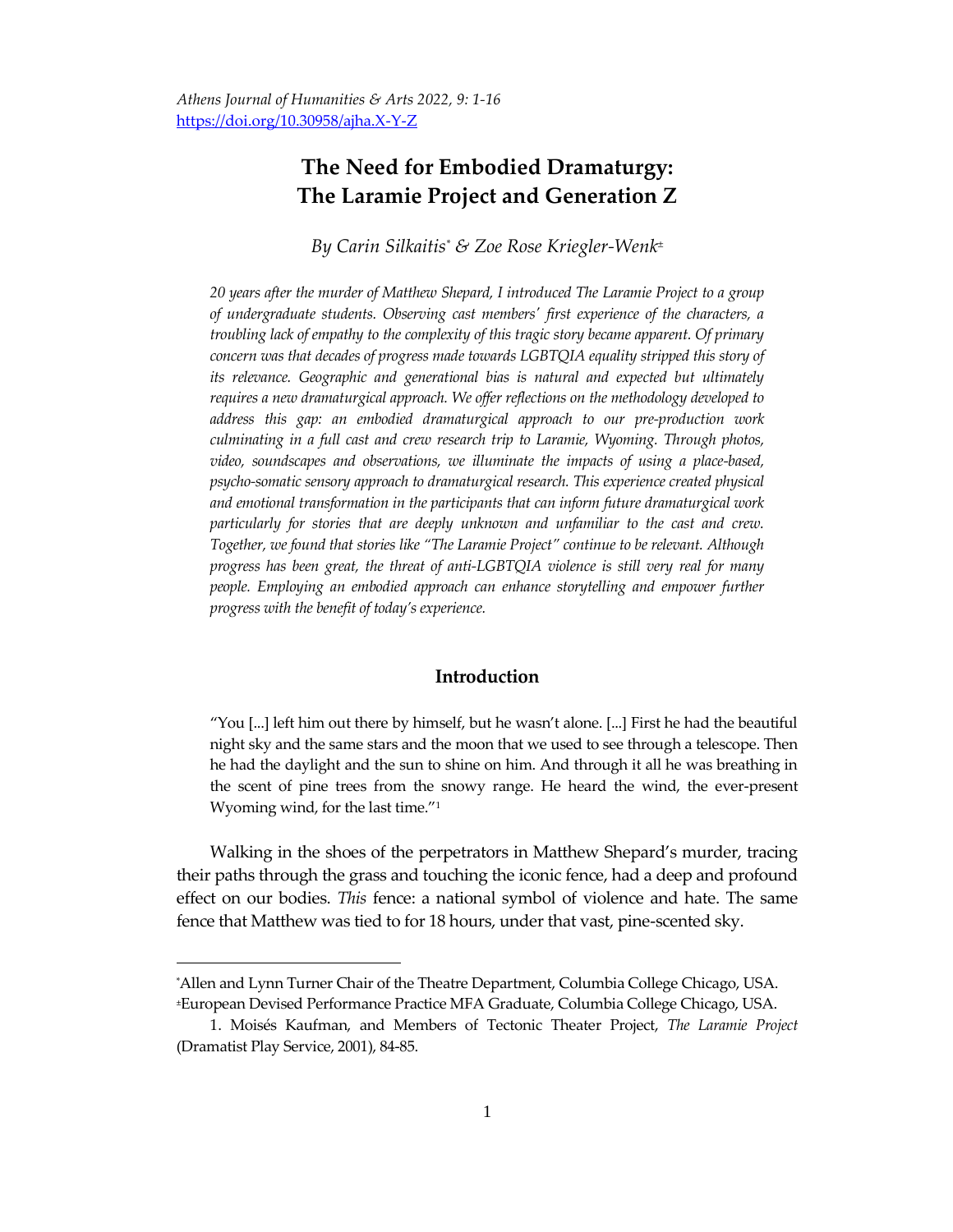# **The Need for Embodied Dramaturgy: The Laramie Project and Generation Z**

*By Carin Silkaitis\* & Zoe Rose Kriegler-Wenk<sup>±</sup>*

*20 years after the murder of Matthew Shepard, I introduced The Laramie Project to a group of undergraduate students. Observing cast members' first experience of the characters, a troubling lack of empathy to the complexity of this tragic story became apparent. Of primary concern was that decades of progress made towards LGBTQIA equality stripped this story of its relevance. Geographic and generational bias is natural and expected but ultimately requires a new dramaturgical approach. We offer reflections on the methodology developed to address this gap: an embodied dramaturgical approach to our pre-production work culminating in a full cast and crew research trip to Laramie, Wyoming. Through photos, video, soundscapes and observations, we illuminate the impacts of using a place-based, psycho-somatic sensory approach to dramaturgical research. This experience created physical and emotional transformation in the participants that can inform future dramaturgical work particularly for stories that are deeply unknown and unfamiliar to the cast and crew. Together, we found that stories like "The Laramie Project" continue to be relevant. Although progress has been great, the threat of anti-LGBTQIA violence is still very real for many people. Employing an embodied approach can enhance storytelling and empower further progress with the benefit of today's experience.*

## **Introduction**

"You [...] left him out there by himself, but he wasn't alone. [...] First he had the beautiful night sky and the same stars and the moon that we used to see through a telescope. Then he had the daylight and the sun to shine on him. And through it all he was breathing in the scent of pine trees from the snowy range. He heard the wind, the ever-present Wyoming wind, for the last time."<sup>1</sup>

Walking in the shoes of the perpetrators in Matthew Shepard's murder, tracing their paths through the grass and touching the iconic fence, had a deep and profound effect on our bodies. *This* fence: a national symbol of violence and hate. The same fence that Matthew was tied to for 18 hours, under that vast, pine-scented sky.

<sup>\*</sup>Allen and Lynn Turner Chair of the Theatre Department, Columbia College Chicago, USA. <sup>±</sup>European Devised Performance Practice MFA Graduate, Columbia College Chicago, USA.

<sup>1.</sup> Moisés Kaufman, and Members of Tectonic Theater Project, *The Laramie Project* (Dramatist Play Service, 2001), 84-85.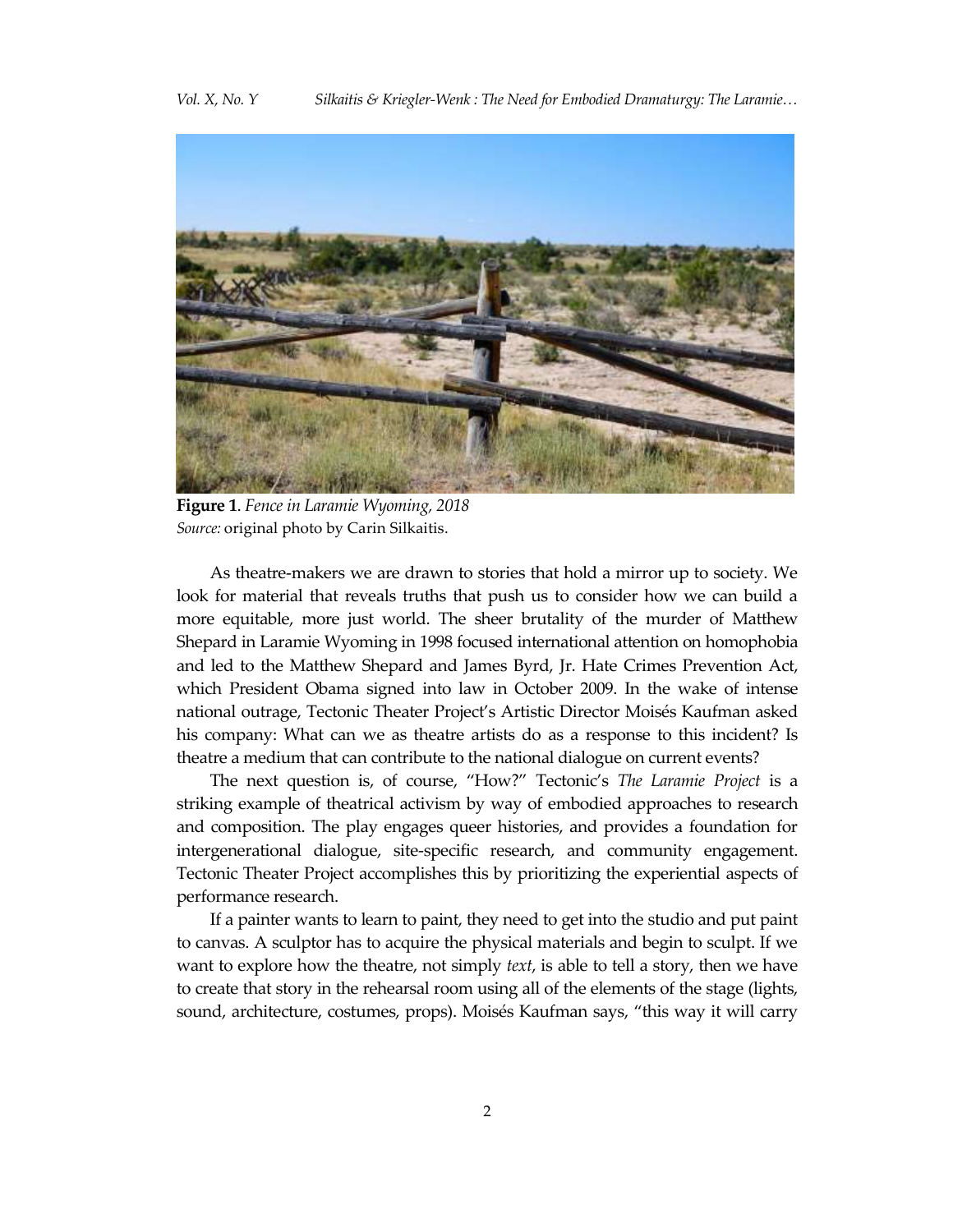

**Figure 1**. *Fence in Laramie Wyoming, 2018 Source:* original photo by Carin Silkaitis.

As theatre-makers we are drawn to stories that hold a mirror up to society. We look for material that reveals truths that push us to consider how we can build a more equitable, more just world. The sheer brutality of the murder of Matthew Shepard in Laramie Wyoming in 1998 focused international attention on homophobia and led to the Matthew Shepard and James Byrd, Jr. Hate Crimes Prevention Act, which President Obama signed into law in October 2009. In the wake of intense national outrage, Tectonic Theater Project's Artistic Director Moisés Kaufman asked his company: What can we as theatre artists do as a response to this incident? Is theatre a medium that can contribute to the national dialogue on current events?

The next question is, of course, "How?" Tectonic's *The Laramie Project* is a striking example of theatrical activism by way of embodied approaches to research and composition. The play engages queer histories, and provides a foundation for intergenerational dialogue, site-specific research, and community engagement. Tectonic Theater Project accomplishes this by prioritizing the experiential aspects of performance research.

If a painter wants to learn to paint, they need to get into the studio and put paint to canvas. A sculptor has to acquire the physical materials and begin to sculpt. If we want to explore how the theatre, not simply *text*, is able to tell a story, then we have to create that story in the rehearsal room using all of the elements of the stage (lights, sound, architecture, costumes, props). Moisés Kaufman says, "this way it will carry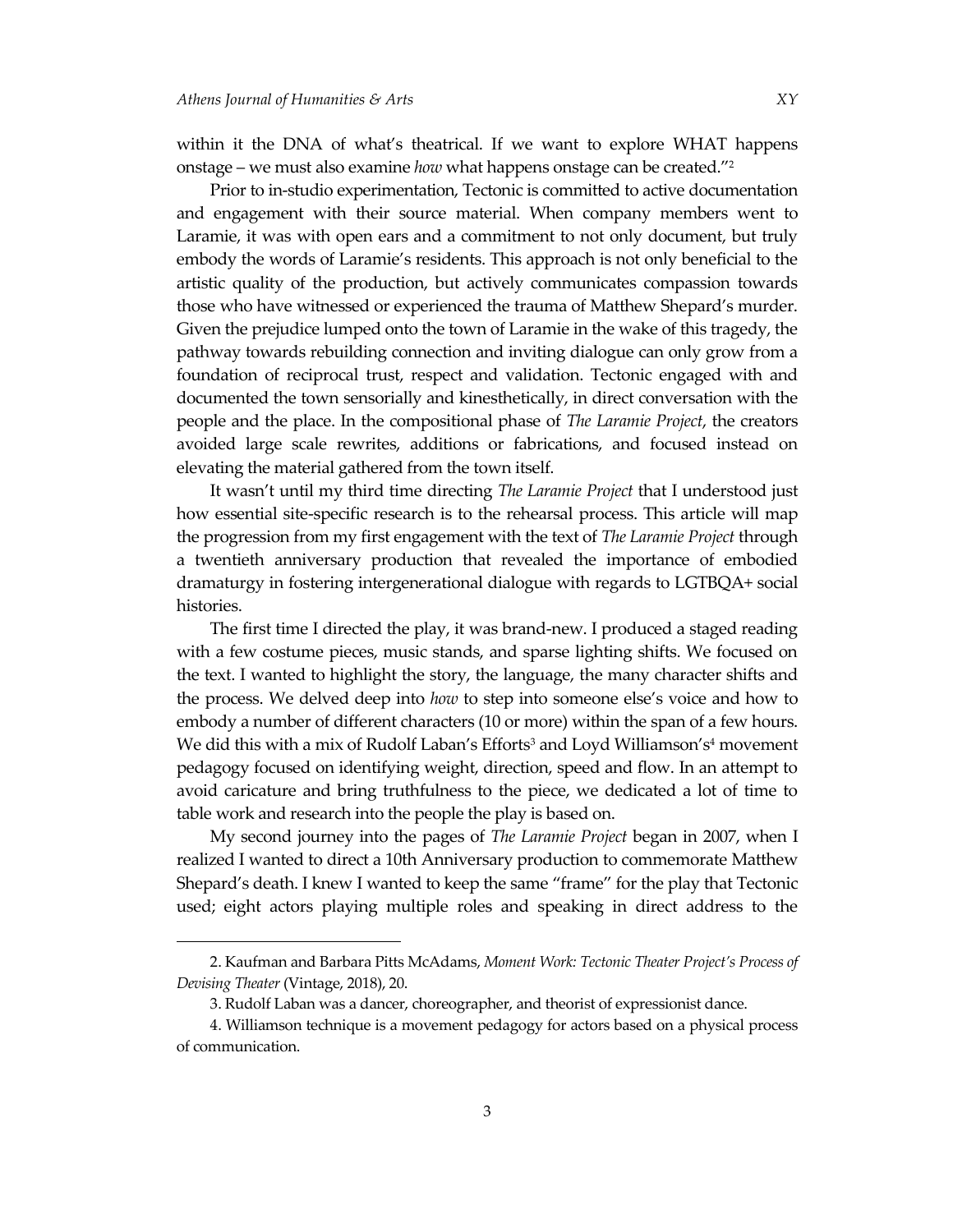$\overline{a}$ 

within it the DNA of what's theatrical. If we want to explore WHAT happens onstage – we must also examine *how* what happens onstage can be created."<sup>2</sup>

Prior to in-studio experimentation, Tectonic is committed to active documentation and engagement with their source material. When company members went to Laramie, it was with open ears and a commitment to not only document, but truly embody the words of Laramie's residents. This approach is not only beneficial to the artistic quality of the production, but actively communicates compassion towards those who have witnessed or experienced the trauma of Matthew Shepard's murder. Given the prejudice lumped onto the town of Laramie in the wake of this tragedy, the pathway towards rebuilding connection and inviting dialogue can only grow from a foundation of reciprocal trust, respect and validation. Tectonic engaged with and documented the town sensorially and kinesthetically, in direct conversation with the people and the place. In the compositional phase of *The Laramie Project*, the creators avoided large scale rewrites, additions or fabrications, and focused instead on elevating the material gathered from the town itself.

It wasn't until my third time directing *The Laramie Project* that I understood just how essential site-specific research is to the rehearsal process. This article will map the progression from my first engagement with the text of *The Laramie Project* through a twentieth anniversary production that revealed the importance of embodied dramaturgy in fostering intergenerational dialogue with regards to LGTBQA+ social histories.

The first time I directed the play, it was brand-new. I produced a staged reading with a few costume pieces, music stands, and sparse lighting shifts. We focused on the text. I wanted to highlight the story, the language, the many character shifts and the process. We delved deep into *how* to step into someone else's voice and how to embody a number of different characters (10 or more) within the span of a few hours. We did this with a mix of Rudolf Laban's Efforts<sup>3</sup> and Loyd Williamson's<sup>4</sup> movement pedagogy focused on identifying weight, direction, speed and flow. In an attempt to avoid caricature and bring truthfulness to the piece, we dedicated a lot of time to table work and research into the people the play is based on.

My second journey into the pages of *The Laramie Project* began in 2007, when I realized I wanted to direct a 10th Anniversary production to commemorate Matthew Shepard's death. I knew I wanted to keep the same "frame" for the play that Tectonic used; eight actors playing multiple roles and speaking in direct address to the

<sup>2.</sup> Kaufman and Barbara Pitts McAdams, *Moment Work: Tectonic Theater Project's Process of Devising Theater* (Vintage, 2018), 20.

<sup>3.</sup> Rudolf Laban was a dancer, choreographer, and theorist of expressionist dance.

<sup>4.</sup> Williamson technique is a movement pedagogy for actors based on a physical process of communication.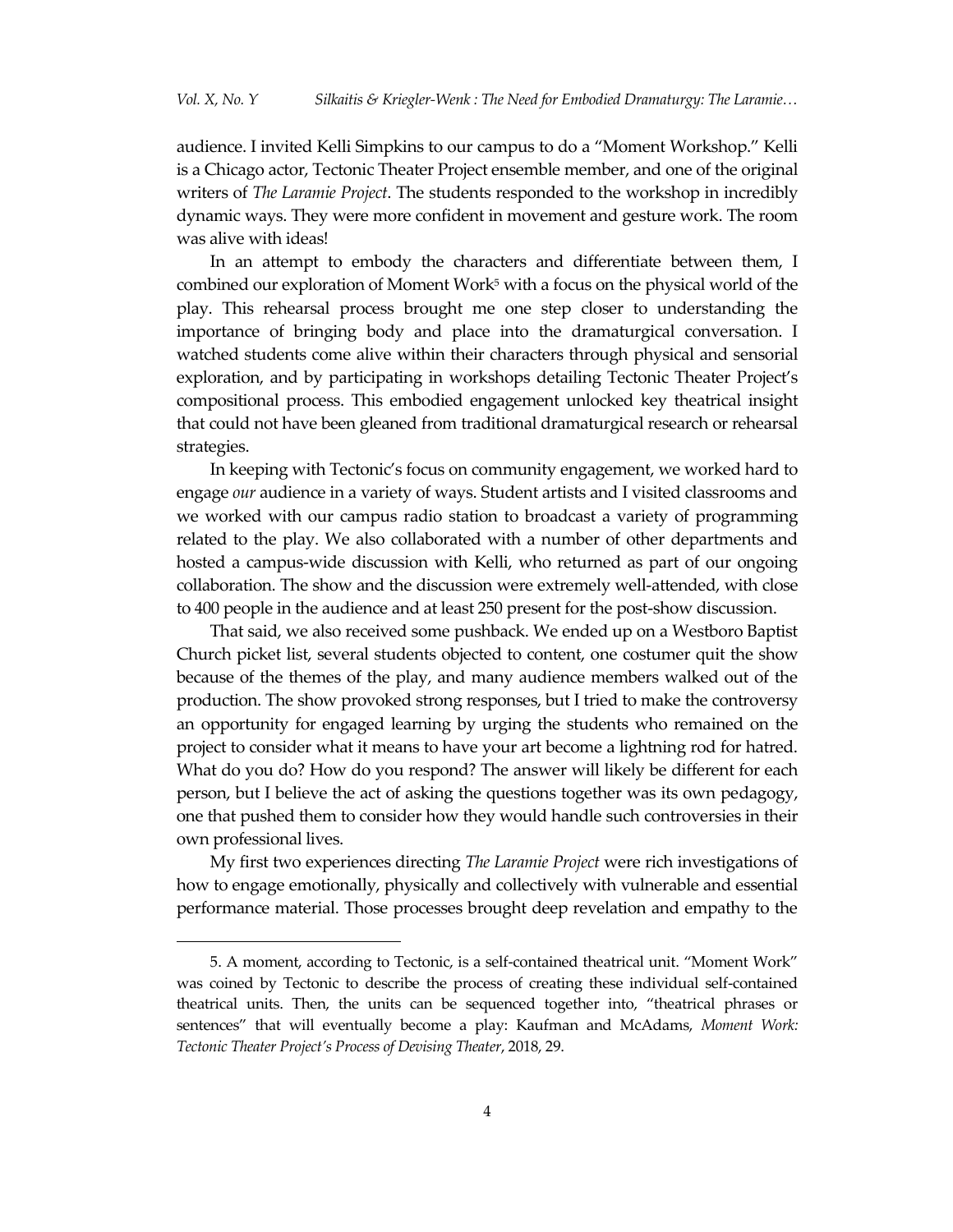audience. I invited Kelli Simpkins to our campus to do a "Moment Workshop." Kelli is a Chicago actor, Tectonic Theater Project ensemble member, and one of the original writers of *The Laramie Project*. The students responded to the workshop in incredibly dynamic ways. They were more confident in movement and gesture work. The room was alive with ideas!

In an attempt to embody the characters and differentiate between them, I combined our exploration of Moment Work<sup>5</sup> with a focus on the physical world of the play. This rehearsal process brought me one step closer to understanding the importance of bringing body and place into the dramaturgical conversation. I watched students come alive within their characters through physical and sensorial exploration, and by participating in workshops detailing Tectonic Theater Project's compositional process. This embodied engagement unlocked key theatrical insight that could not have been gleaned from traditional dramaturgical research or rehearsal strategies.

In keeping with Tectonic's focus on community engagement, we worked hard to engage *our* audience in a variety of ways. Student artists and I visited classrooms and we worked with our campus radio station to broadcast a variety of programming related to the play. We also collaborated with a number of other departments and hosted a campus-wide discussion with Kelli, who returned as part of our ongoing collaboration. The show and the discussion were extremely well-attended, with close to 400 people in the audience and at least 250 present for the post-show discussion.

That said, we also received some pushback. We ended up on a Westboro Baptist Church picket list, several students objected to content, one costumer quit the show because of the themes of the play, and many audience members walked out of the production. The show provoked strong responses, but I tried to make the controversy an opportunity for engaged learning by urging the students who remained on the project to consider what it means to have your art become a lightning rod for hatred. What do you do? How do you respond? The answer will likely be different for each person, but I believe the act of asking the questions together was its own pedagogy, one that pushed them to consider how they would handle such controversies in their own professional lives.

My first two experiences directing *The Laramie Project* were rich investigations of how to engage emotionally, physically and collectively with vulnerable and essential performance material. Those processes brought deep revelation and empathy to the

<sup>5.</sup> A moment, according to Tectonic, is a self-contained theatrical unit. "Moment Work" was coined by Tectonic to describe the process of creating these individual self-contained theatrical units. Then, the units can be sequenced together into, "theatrical phrases or sentences" that will eventually become a play: Kaufman and McAdams, *Moment Work: Tectonic Theater Project's Process of Devising Theater*, 2018, 29.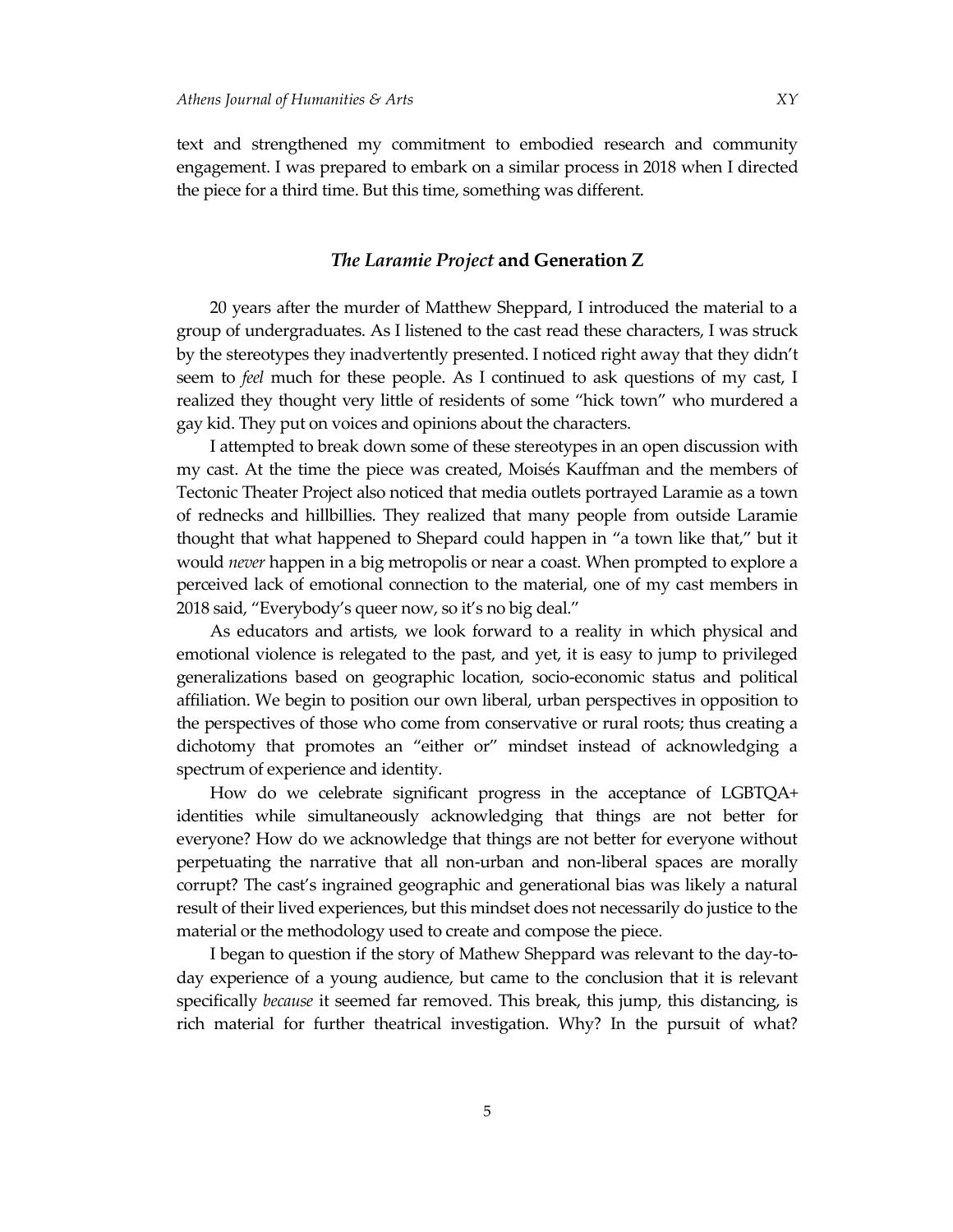text and strengthened my commitment to embodied research and community engagement. I was prepared to embark on a similar process in 2018 when I directed the piece for a third time. But this time, something was different.

#### *The Laramie Project* **and Generation Z**

20 years after the murder of Matthew Sheppard, I introduced the material to a group of undergraduates. As I listened to the cast read these characters, I was struck by the stereotypes they inadvertently presented. I noticed right away that they didn't seem to *feel* much for these people. As I continued to ask questions of my cast, I realized they thought very little of residents of some "hick town" who murdered a gay kid. They put on voices and opinions about the characters.

I attempted to break down some of these stereotypes in an open discussion with my cast. At the time the piece was created, Moisés Kauffman and the members of Tectonic Theater Project also noticed that media outlets portrayed Laramie as a town of rednecks and hillbillies. They realized that many people from outside Laramie thought that what happened to Shepard could happen in "a town like that," but it would *never* happen in a big metropolis or near a coast. When prompted to explore a perceived lack of emotional connection to the material, one of my cast members in 2018 said, "Everybody's queer now, so it's no big deal."

As educators and artists, we look forward to a reality in which physical and emotional violence is relegated to the past, and yet, it is easy to jump to privileged generalizations based on geographic location, socio-economic status and political affiliation. We begin to position our own liberal, urban perspectives in opposition to the perspectives of those who come from conservative or rural roots; thus creating a dichotomy that promotes an "either or" mindset instead of acknowledging a spectrum of experience and identity.

How do we celebrate significant progress in the acceptance of LGBTQA+ identities while simultaneously acknowledging that things are not better for everyone? How do we acknowledge that things are not better for everyone without perpetuating the narrative that all non-urban and non-liberal spaces are morally corrupt? The cast's ingrained geographic and generational bias was likely a natural result of their lived experiences, but this mindset does not necessarily do justice to the material or the methodology used to create and compose the piece.

I began to question if the story of Mathew Sheppard was relevant to the day-today experience of a young audience, but came to the conclusion that it is relevant specifically *because* it seemed far removed. This break, this jump, this distancing, is rich material for further theatrical investigation. Why? In the pursuit of what?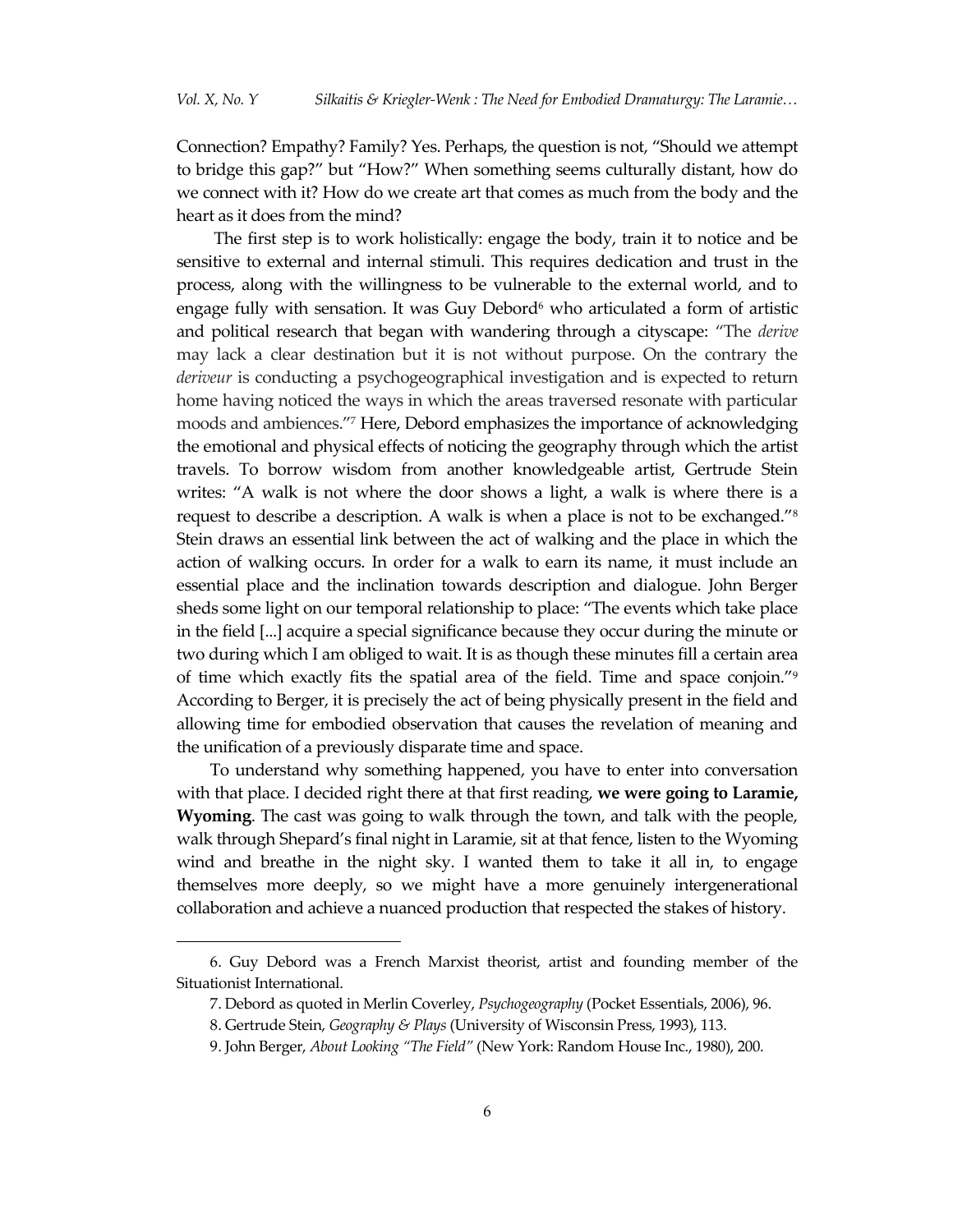Connection? Empathy? Family? Yes. Perhaps, the question is not, "Should we attempt to bridge this gap?" but "How?" When something seems culturally distant, how do we connect with it? How do we create art that comes as much from the body and the heart as it does from the mind?

The first step is to work holistically: engage the body, train it to notice and be sensitive to external and internal stimuli. This requires dedication and trust in the process, along with the willingness to be vulnerable to the external world, and to engage fully with sensation. It was Guy Debord $6$  who articulated a form of artistic and political research that began with wandering through a cityscape: "The *derive*  may lack a clear destination but it is not without purpose. On the contrary the *deriveur* is conducting a psychogeographical investigation and is expected to return home having noticed the ways in which the areas traversed resonate with particular moods and ambiences."<sup>7</sup> Here, Debord emphasizes the importance of acknowledging the emotional and physical effects of noticing the geography through which the artist travels. To borrow wisdom from another knowledgeable artist, Gertrude Stein writes: "A walk is not where the door shows a light, a walk is where there is a request to describe a description. A walk is when a place is not to be exchanged."<sup>8</sup> Stein draws an essential link between the act of walking and the place in which the action of walking occurs. In order for a walk to earn its name, it must include an essential place and the inclination towards description and dialogue. John Berger sheds some light on our temporal relationship to place: "The events which take place in the field [...] acquire a special significance because they occur during the minute or two during which I am obliged to wait. It is as though these minutes fill a certain area of time which exactly fits the spatial area of the field. Time and space conjoin."<sup>9</sup> According to Berger, it is precisely the act of being physically present in the field and allowing time for embodied observation that causes the revelation of meaning and the unification of a previously disparate time and space.

To understand why something happened, you have to enter into conversation with that place. I decided right there at that first reading, **we were going to Laramie, Wyoming**. The cast was going to walk through the town, and talk with the people, walk through Shepard's final night in Laramie, sit at that fence, listen to the Wyoming wind and breathe in the night sky. I wanted them to take it all in, to engage themselves more deeply, so we might have a more genuinely intergenerational collaboration and achieve a nuanced production that respected the stakes of history.

<sup>6.</sup> Guy Debord was a French Marxist theorist, artist and founding member of the Situationist International.

<sup>7.</sup> Debord as quoted in Merlin Coverley, *Psychogeography* (Pocket Essentials, 2006), 96.

<sup>8.</sup> Gertrude Stein, *Geography & Plays* (University of Wisconsin Press, 1993), 113.

<sup>9.</sup> John Berger, *About Looking "The Field"* (New York: Random House Inc., 1980), 200.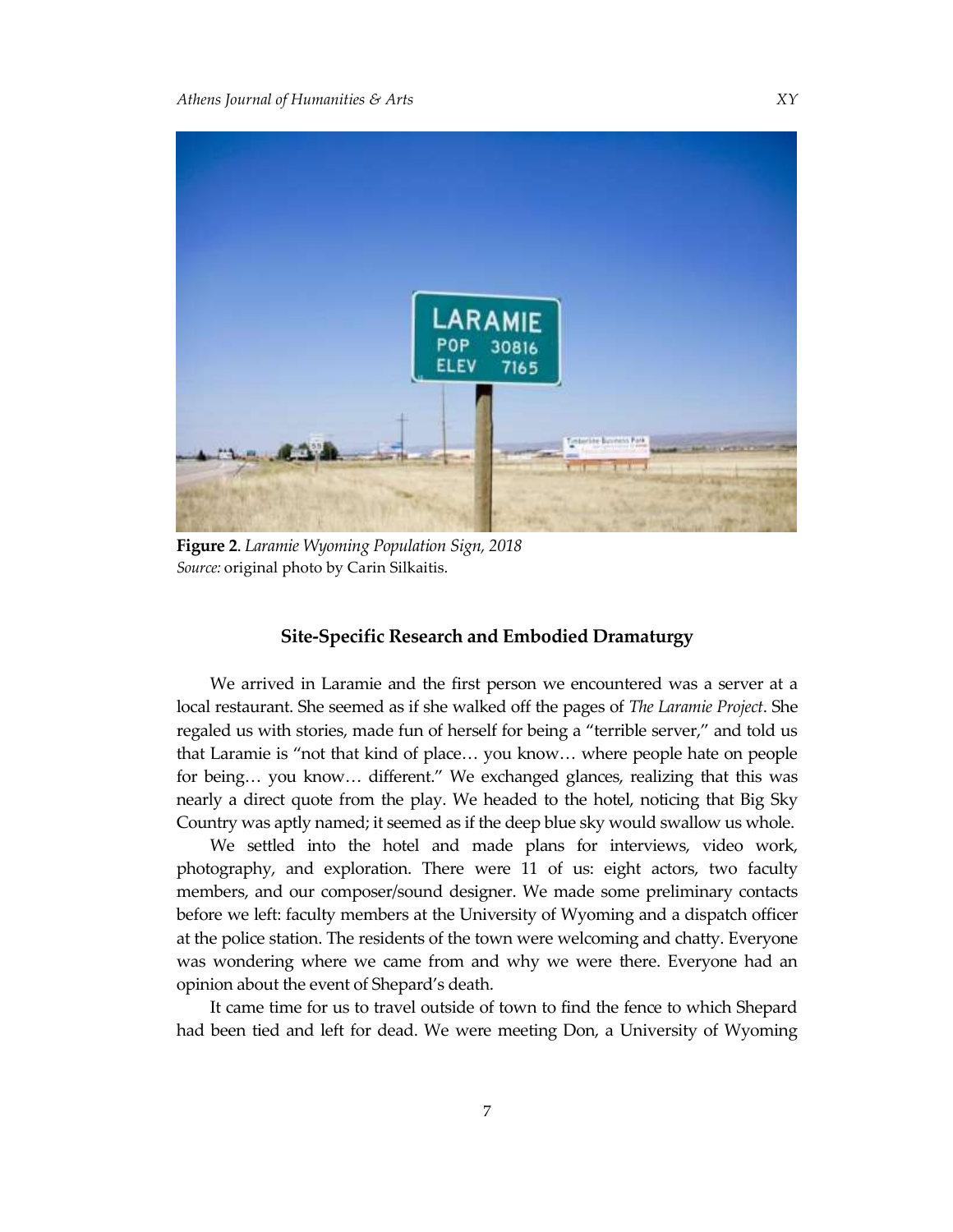

**Figure 2**. *Laramie Wyoming Population Sign, 2018 Source:* original photo by Carin Silkaitis.

### **Site-Specific Research and Embodied Dramaturgy**

We arrived in Laramie and the first person we encountered was a server at a local restaurant. She seemed as if she walked off the pages of *The Laramie Project*. She regaled us with stories, made fun of herself for being a "terrible server," and told us that Laramie is "not that kind of place… you know… where people hate on people for being… you know… different." We exchanged glances, realizing that this was nearly a direct quote from the play. We headed to the hotel, noticing that Big Sky Country was aptly named; it seemed as if the deep blue sky would swallow us whole.

We settled into the hotel and made plans for interviews, video work, photography, and exploration. There were 11 of us: eight actors, two faculty members, and our composer/sound designer. We made some preliminary contacts before we left: faculty members at the University of Wyoming and a dispatch officer at the police station. The residents of the town were welcoming and chatty. Everyone was wondering where we came from and why we were there. Everyone had an opinion about the event of Shepard's death.

It came time for us to travel outside of town to find the fence to which Shepard had been tied and left for dead. We were meeting Don, a University of Wyoming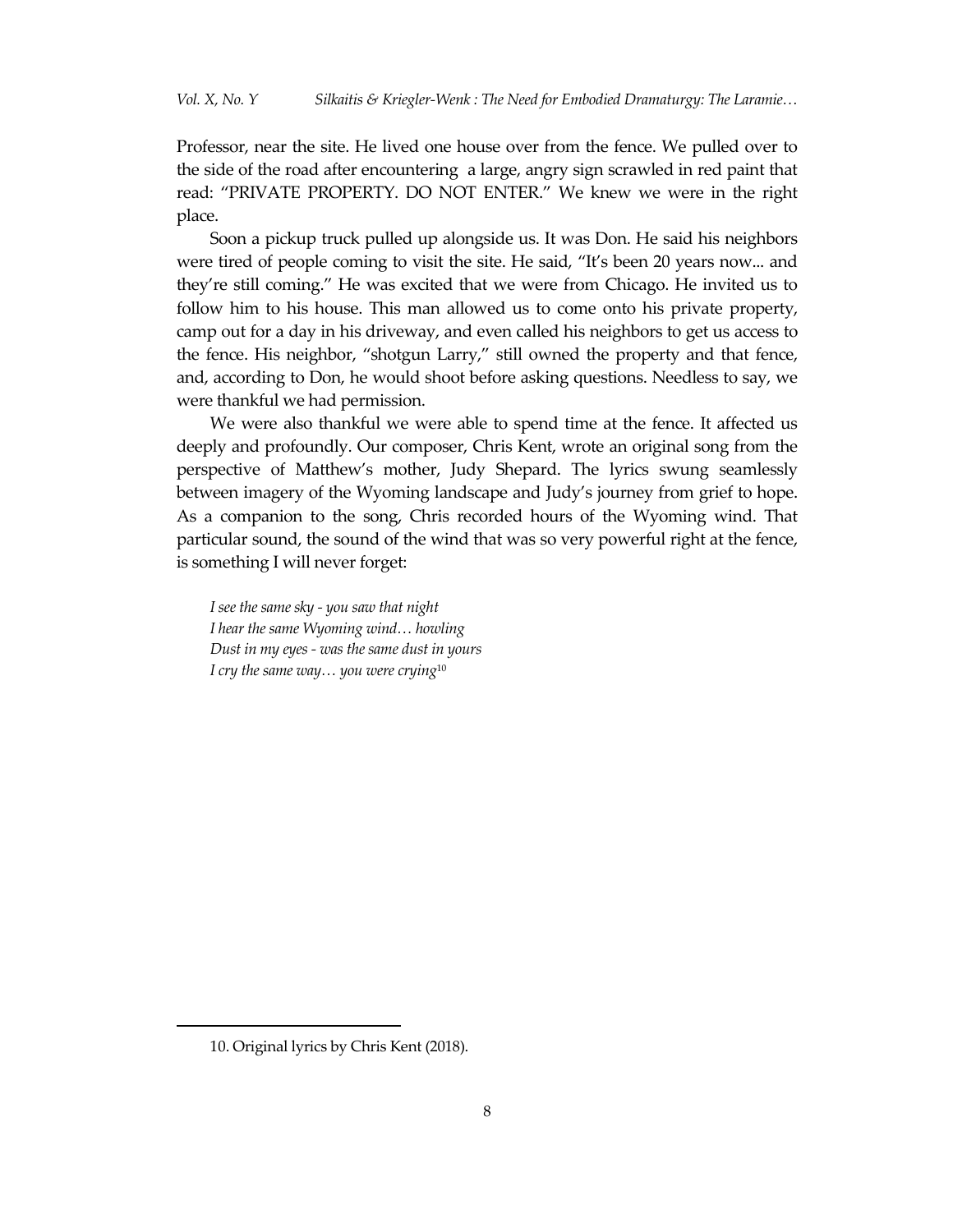Professor, near the site. He lived one house over from the fence. We pulled over to the side of the road after encountering a large, angry sign scrawled in red paint that read: "PRIVATE PROPERTY. DO NOT ENTER." We knew we were in the right place.

Soon a pickup truck pulled up alongside us. It was Don. He said his neighbors were tired of people coming to visit the site. He said, "It's been 20 years now... and they're still coming." He was excited that we were from Chicago. He invited us to follow him to his house. This man allowed us to come onto his private property, camp out for a day in his driveway, and even called his neighbors to get us access to the fence. His neighbor, "shotgun Larry," still owned the property and that fence, and, according to Don, he would shoot before asking questions. Needless to say, we were thankful we had permission.

We were also thankful we were able to spend time at the fence. It affected us deeply and profoundly. Our composer, Chris Kent, wrote an original song from the perspective of Matthew's mother, Judy Shepard. The lyrics swung seamlessly between imagery of the Wyoming landscape and Judy's journey from grief to hope. As a companion to the song, Chris recorded hours of the Wyoming wind. That particular sound, the sound of the wind that was so very powerful right at the fence, is something I will never forget:

*I see the same sky - you saw that night I hear the same Wyoming wind… howling Dust in my eyes - was the same dust in yours I cry the same way… you were crying*<sup>10</sup>

<sup>10.</sup> Original lyrics by Chris Kent (2018).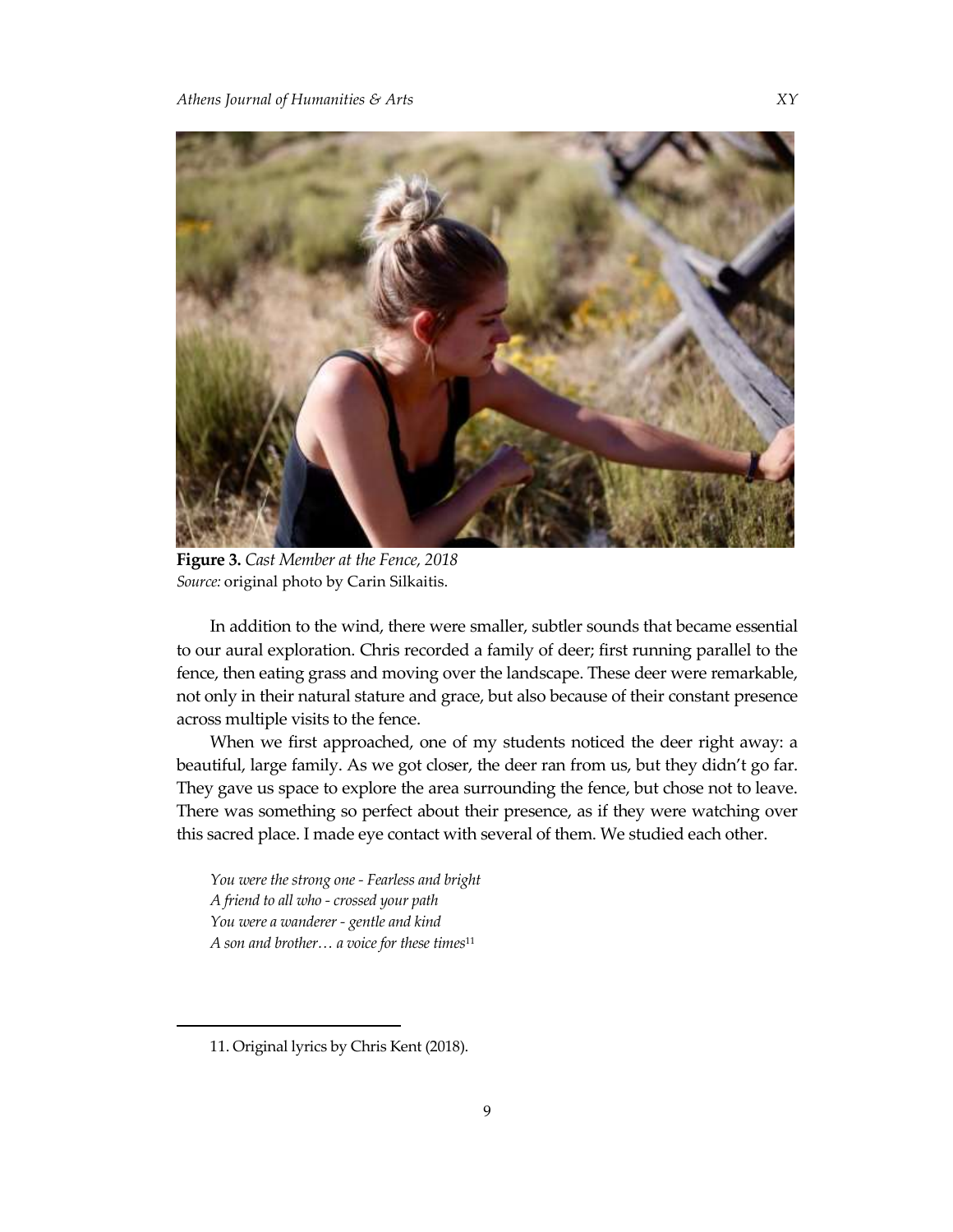

**Figure 3.** *Cast Member at the Fence, 2018 Source:* original photo by Carin Silkaitis.

In addition to the wind, there were smaller, subtler sounds that became essential to our aural exploration. Chris recorded a family of deer; first running parallel to the fence, then eating grass and moving over the landscape. These deer were remarkable, not only in their natural stature and grace, but also because of their constant presence across multiple visits to the fence.

When we first approached, one of my students noticed the deer right away: a beautiful, large family. As we got closer, the deer ran from us, but they didn't go far. They gave us space to explore the area surrounding the fence, but chose not to leave. There was something so perfect about their presence, as if they were watching over this sacred place. I made eye contact with several of them. We studied each other.

*You were the strong one - Fearless and bright A friend to all who - crossed your path You were a wanderer - gentle and kind A son and brother… a voice for these times*<sup>11</sup>

 $\overline{a}$ 

9

<sup>11.</sup> Original lyrics by Chris Kent (2018).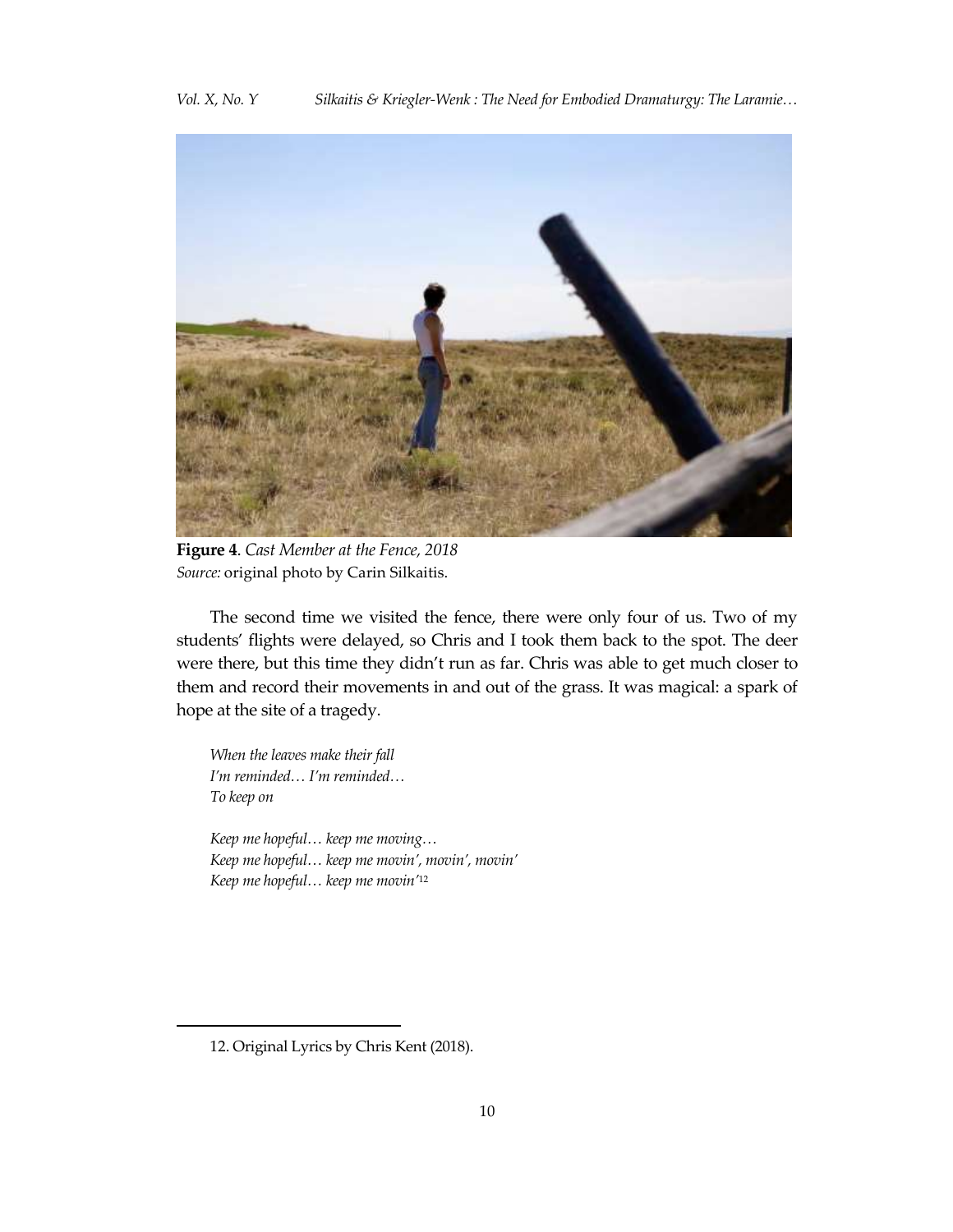

**Figure 4**. *Cast Member at the Fence, 2018 Source:* original photo by Carin Silkaitis.

The second time we visited the fence, there were only four of us. Two of my students' flights were delayed, so Chris and I took them back to the spot. The deer were there, but this time they didn't run as far. Chris was able to get much closer to them and record their movements in and out of the grass. It was magical: a spark of hope at the site of a tragedy.

*When the leaves make their fall I'm reminded… I'm reminded… To keep on*

*Keep me hopeful… keep me moving… Keep me hopeful… keep me movin', movin', movin' Keep me hopeful… keep me movin'*<sup>12</sup>

<sup>12.</sup> Original Lyrics by Chris Kent (2018).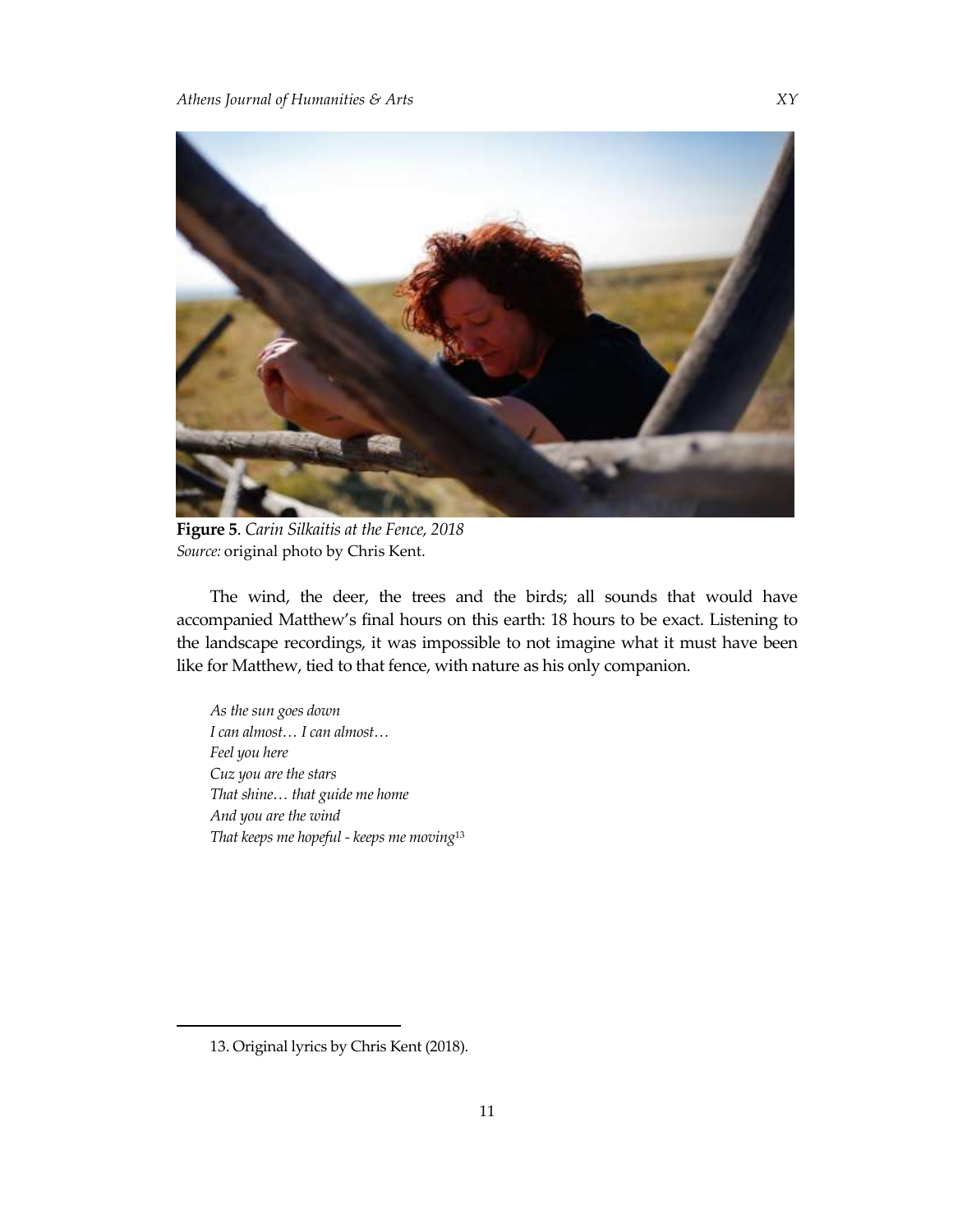

**Figure 5**. *Carin Silkaitis at the Fence, 2018 Source:* original photo by Chris Kent.

The wind, the deer, the trees and the birds; all sounds that would have accompanied Matthew's final hours on this earth: 18 hours to be exact. Listening to the landscape recordings, it was impossible to not imagine what it must have been like for Matthew, tied to that fence, with nature as his only companion.

*As the sun goes down I can almost… I can almost… Feel you here Cuz you are the stars That shine… that guide me home And you are the wind That keeps me hopeful - keeps me moving*<sup>13</sup>

<sup>13.</sup> Original lyrics by Chris Kent (2018).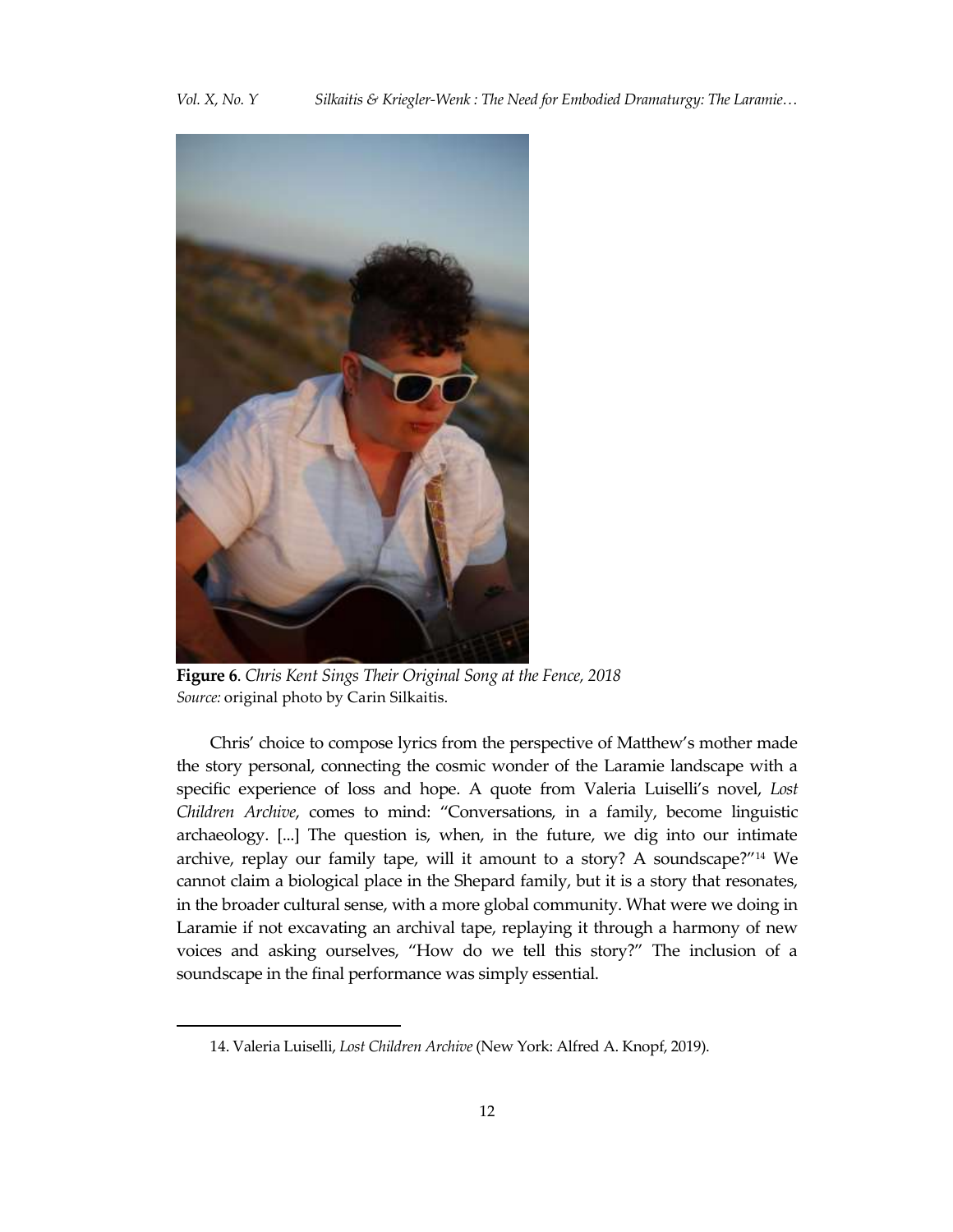*Vol. X, No. Y Silkaitis & Kriegler-Wenk : The Need for Embodied Dramaturgy: The Laramie…*



**Figure 6**. *Chris Kent Sings Their Original Song at the Fence, 2018 Source:* original photo by Carin Silkaitis.

Chris' choice to compose lyrics from the perspective of Matthew's mother made the story personal, connecting the cosmic wonder of the Laramie landscape with a specific experience of loss and hope. A quote from Valeria Luiselli's novel, *Lost Children Archive*, comes to mind: "Conversations, in a family, become linguistic archaeology. [...] The question is, when, in the future, we dig into our intimate archive, replay our family tape, will it amount to a story? A soundscape?"<sup>14</sup> We cannot claim a biological place in the Shepard family, but it is a story that resonates, in the broader cultural sense, with a more global community. What were we doing in Laramie if not excavating an archival tape, replaying it through a harmony of new voices and asking ourselves, "How do we tell this story?" The inclusion of a soundscape in the final performance was simply essential.

<sup>14.</sup> Valeria Luiselli, *Lost Children Archive* (New York: Alfred A. Knopf, 2019).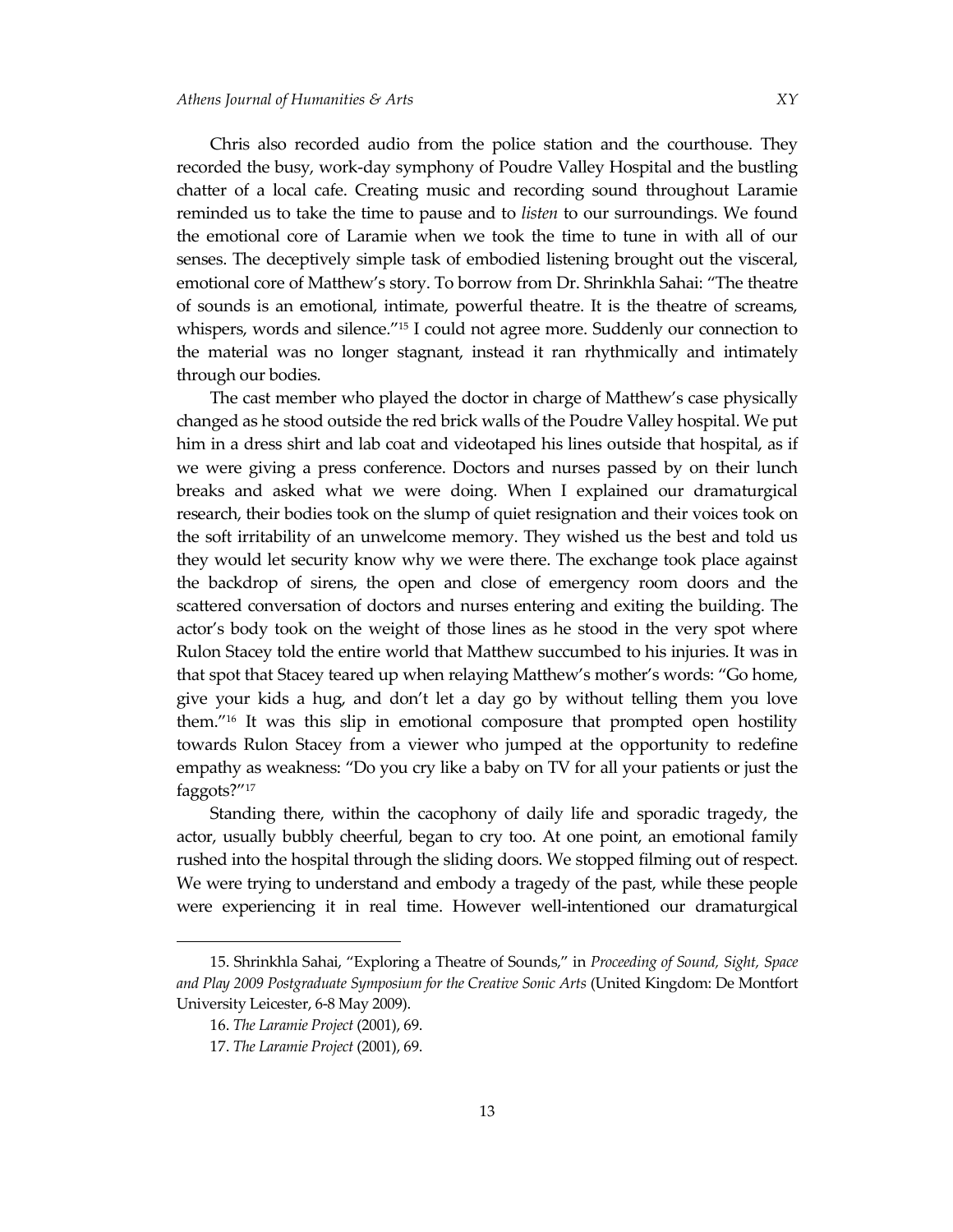Chris also recorded audio from the police station and the courthouse. They recorded the busy, work-day symphony of Poudre Valley Hospital and the bustling chatter of a local cafe. Creating music and recording sound throughout Laramie reminded us to take the time to pause and to *listen* to our surroundings. We found the emotional core of Laramie when we took the time to tune in with all of our senses. The deceptively simple task of embodied listening brought out the visceral, emotional core of Matthew's story. To borrow from Dr. Shrinkhla Sahai: "The theatre of sounds is an emotional, intimate, powerful theatre. It is the theatre of screams, whispers, words and silence.<sup>"15</sup> I could not agree more. Suddenly our connection to the material was no longer stagnant, instead it ran rhythmically and intimately through our bodies.

The cast member who played the doctor in charge of Matthew's case physically changed as he stood outside the red brick walls of the Poudre Valley hospital. We put him in a dress shirt and lab coat and videotaped his lines outside that hospital, as if we were giving a press conference. Doctors and nurses passed by on their lunch breaks and asked what we were doing. When I explained our dramaturgical research, their bodies took on the slump of quiet resignation and their voices took on the soft irritability of an unwelcome memory. They wished us the best and told us they would let security know why we were there. The exchange took place against the backdrop of sirens, the open and close of emergency room doors and the scattered conversation of doctors and nurses entering and exiting the building. The actor's body took on the weight of those lines as he stood in the very spot where Rulon Stacey told the entire world that Matthew succumbed to his injuries. It was in that spot that Stacey teared up when relaying Matthew's mother's words: "Go home, give your kids a hug, and don't let a day go by without telling them you love them."<sup>16</sup> It was this slip in emotional composure that prompted open hostility towards Rulon Stacey from a viewer who jumped at the opportunity to redefine empathy as weakness: "Do you cry like a baby on TV for all your patients or just the faggots?"<sup>17</sup>

Standing there, within the cacophony of daily life and sporadic tragedy, the actor, usually bubbly cheerful, began to cry too. At one point, an emotional family rushed into the hospital through the sliding doors. We stopped filming out of respect. We were trying to understand and embody a tragedy of the past, while these people were experiencing it in real time. However well-intentioned our dramaturgical

<sup>15.</sup> Shrinkhla Sahai, "Exploring a Theatre of Sounds," in *Proceeding of Sound, Sight, Space and Play 2009 Postgraduate Symposium for the Creative Sonic Arts* (United Kingdom: De Montfort University Leicester, 6-8 May 2009).

<sup>16.</sup> *The Laramie Project* (2001), 69.

<sup>17.</sup> *The Laramie Project* (2001), 69.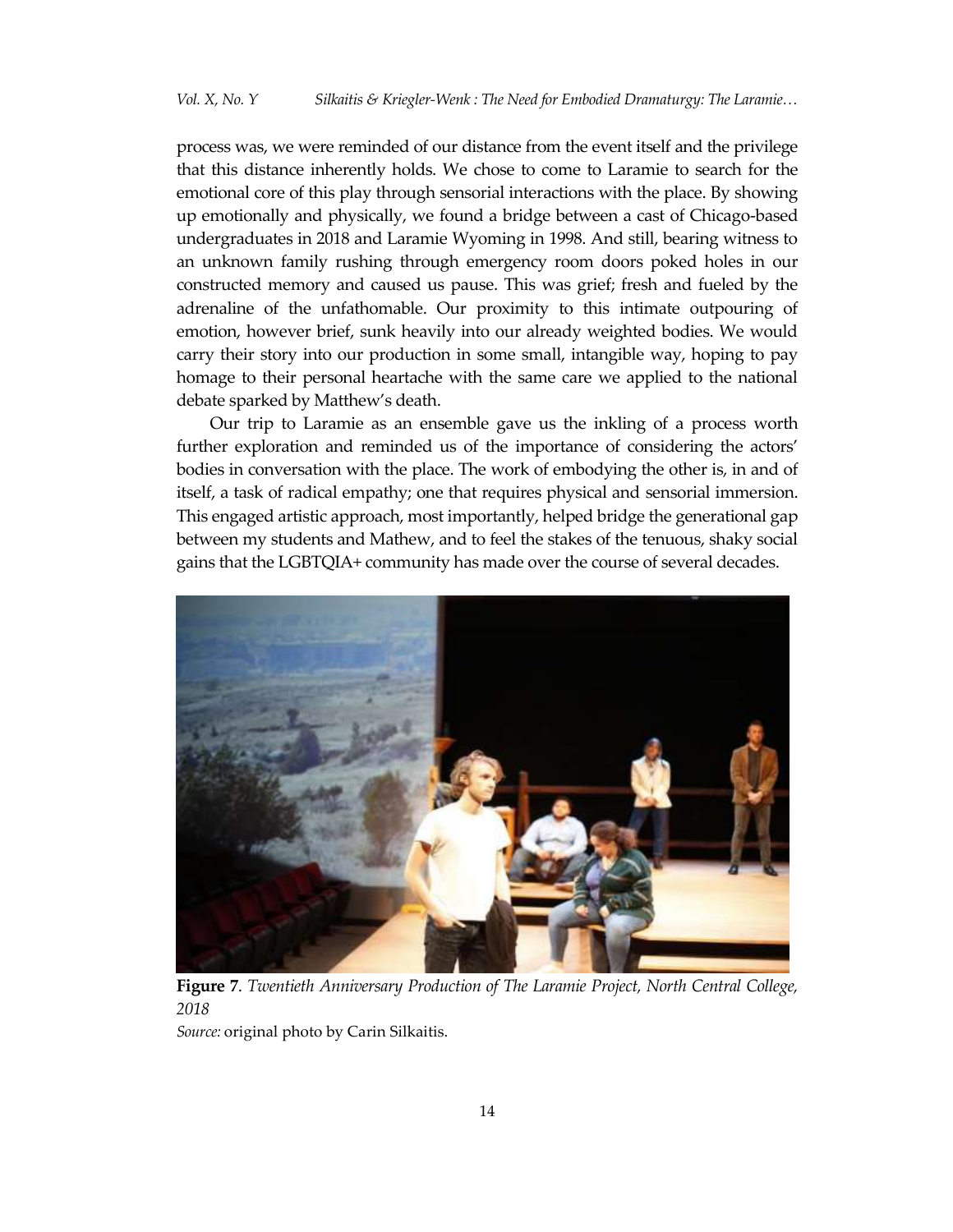process was, we were reminded of our distance from the event itself and the privilege that this distance inherently holds. We chose to come to Laramie to search for the emotional core of this play through sensorial interactions with the place. By showing up emotionally and physically, we found a bridge between a cast of Chicago-based undergraduates in 2018 and Laramie Wyoming in 1998. And still, bearing witness to an unknown family rushing through emergency room doors poked holes in our constructed memory and caused us pause. This was grief; fresh and fueled by the adrenaline of the unfathomable. Our proximity to this intimate outpouring of emotion, however brief, sunk heavily into our already weighted bodies. We would carry their story into our production in some small, intangible way, hoping to pay homage to their personal heartache with the same care we applied to the national debate sparked by Matthew's death.

Our trip to Laramie as an ensemble gave us the inkling of a process worth further exploration and reminded us of the importance of considering the actors' bodies in conversation with the place. The work of embodying the other is, in and of itself, a task of radical empathy; one that requires physical and sensorial immersion. This engaged artistic approach, most importantly, helped bridge the generational gap between my students and Mathew, and to feel the stakes of the tenuous, shaky social gains that the LGBTQIA+ community has made over the course of several decades.



**Figure 7**. *Twentieth Anniversary Production of The Laramie Project, North Central College, 2018*

*Source:* original photo by Carin Silkaitis.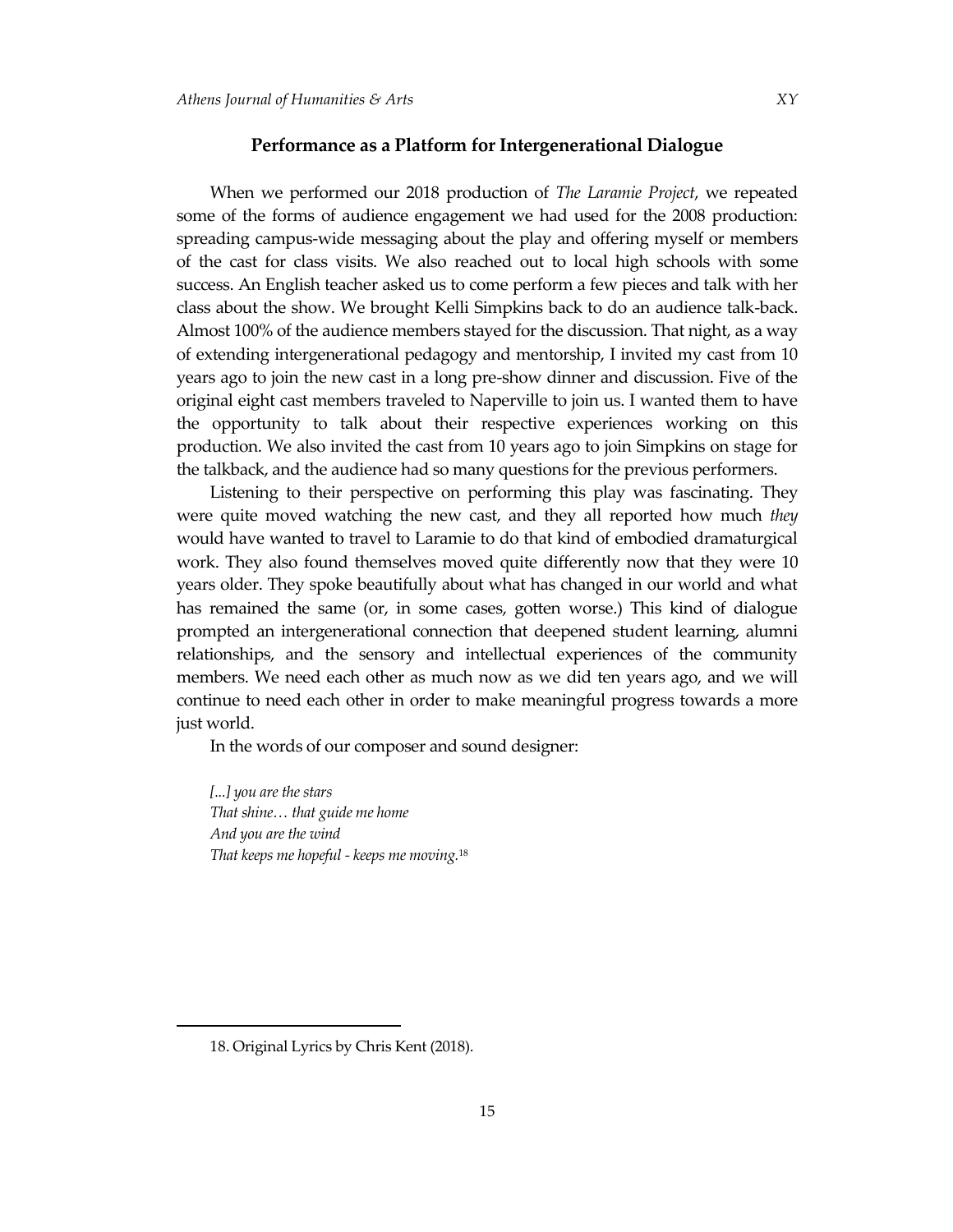When we performed our 2018 production of *The Laramie Project*, we repeated some of the forms of audience engagement we had used for the 2008 production: spreading campus-wide messaging about the play and offering myself or members of the cast for class visits. We also reached out to local high schools with some success. An English teacher asked us to come perform a few pieces and talk with her class about the show. We brought Kelli Simpkins back to do an audience talk-back. Almost 100% of the audience members stayed for the discussion. That night, as a way of extending intergenerational pedagogy and mentorship, I invited my cast from 10 years ago to join the new cast in a long pre-show dinner and discussion. Five of the original eight cast members traveled to Naperville to join us. I wanted them to have the opportunity to talk about their respective experiences working on this production. We also invited the cast from 10 years ago to join Simpkins on stage for the talkback, and the audience had so many questions for the previous performers.

Listening to their perspective on performing this play was fascinating. They were quite moved watching the new cast, and they all reported how much *they* would have wanted to travel to Laramie to do that kind of embodied dramaturgical work. They also found themselves moved quite differently now that they were 10 years older. They spoke beautifully about what has changed in our world and what has remained the same (or, in some cases, gotten worse.) This kind of dialogue prompted an intergenerational connection that deepened student learning, alumni relationships, and the sensory and intellectual experiences of the community members. We need each other as much now as we did ten years ago, and we will continue to need each other in order to make meaningful progress towards a more just world.

In the words of our composer and sound designer:

*[...] you are the stars That shine… that guide me home And you are the wind That keeps me hopeful - keeps me moving.*<sup>18</sup>

<sup>18.</sup> Original Lyrics by Chris Kent (2018).